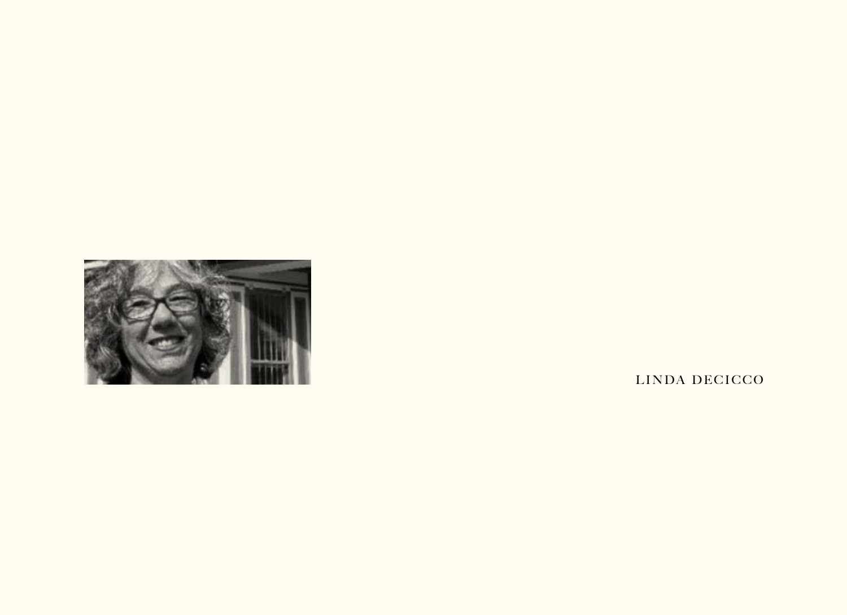

LINDA DECICCO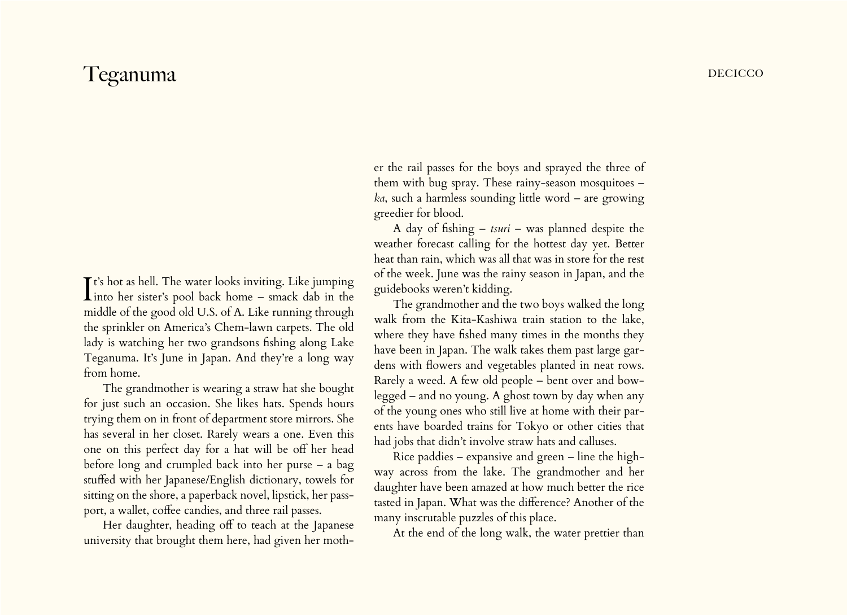## Teganuma decide a contractor de la contractor de la contractor de la contractor de la contractor de la contractor de la contractor de la contractor de la contractor de la contractor de la contractor de la contractor de la

 $\prod$ t's hot as hell. The water looks inviting. Like jumping<br>into her sister's pool back home – smack dab in the **T** t's hot as hell. The water looks inviting. Like jumping middle of the good old U.S. of A. Like running through the sprinkler on America's Chem-lawn carpets. The old lady is watching her two grandsons fishing along Lake Teganuma. It's June in Japan. And they're a long way from home.

The grandmother is wearing a straw hat she bought for just such an occasion. She likes hats. Spends hours trying them on in front of department store mirrors. She has several in her closet. Rarely wears a one. Even this one on this perfect day for a hat will be off her head before long and crumpled back into her purse – a bag stuffed with her Japanese/English dictionary, towels for sitting on the shore, a paperback novel, lipstick, her passport, a wallet, coffee candies, and three rail passes.

Her daughter, heading off to teach at the Japanese university that brought them here, had given her mother the rail passes for the boys and sprayed the three of them with bug spray. These rainy-season mosquitoes – *ka*, such a harmless sounding little word – are growing greedier for blood.

A day of fishing – *tsuri* – was planned despite the weather forecast calling for the hottest day yet. Better heat than rain, which was all that was in store for the rest of the week. June was the rainy season in Japan, and the guidebooks weren't kidding.

The grandmother and the two boys walked the long walk from the Kita-Kashiwa train station to the lake, where they have fished many times in the months they have been in Japan. The walk takes them past large gardens with flowers and vegetables planted in neat rows. Rarely a weed. A few old people – bent over and bowlegged – and no young. A ghost town by day when any of the young ones who still live at home with their parents have boarded trains for Tokyo or other cities that had jobs that didn't involve straw hats and calluses.

Rice paddies – expansive and green – line the highway across from the lake. The grandmother and her daughter have been amazed at how much better the rice tasted in Japan. What was the difference? Another of the many inscrutable puzzles of this place.

At the end of the long walk, the water prettier than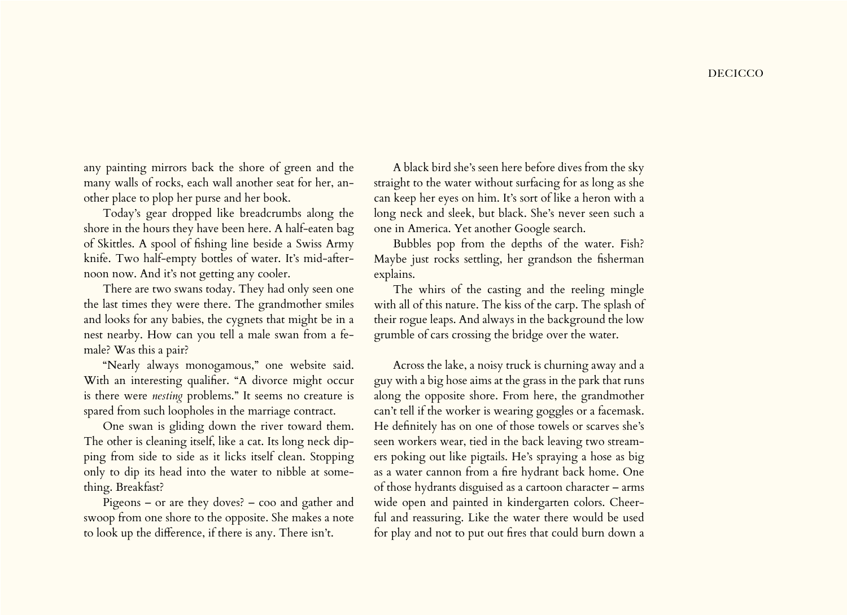any painting mirrors back the shore of green and the many walls of rocks, each wall another seat for her, another place to plop her purse and her book.

Today's gear dropped like breadcrumbs along the shore in the hours they have been here. A half-eaten bag of Skittles. A spool of fishing line beside a Swiss Army knife. Two half-empty bottles of water. It's mid-afternoon now. And it's not getting any cooler.

There are two swans today. They had only seen one the last times they were there. The grandmother smiles and looks for any babies, the cygnets that might be in a nest nearby. How can you tell a male swan from a female? Was this a pair?

"Nearly always monogamous," one website said. With an interesting qualifier. "A divorce might occur is there were *nesting* problems." It seems no creature is spared from such loopholes in the marriage contract.

One swan is gliding down the river toward them. The other is cleaning itself, like a cat. Its long neck dipping from side to side as it licks itself clean. Stopping only to dip its head into the water to nibble at something. Breakfast?

Pigeons – or are they doves? – coo and gather and swoop from one shore to the opposite. She makes a note to look up the difference, if there is any. There isn't.

A black bird she's seen here before dives from the sky straight to the water without surfacing for as long as she can keep her eyes on him. It's sort of like a heron with a long neck and sleek, but black. She's never seen such a one in America. Yet another Google search.

Bubbles pop from the depths of the water. Fish? Maybe just rocks settling, her grandson the fisherman explains.

The whirs of the casting and the reeling mingle with all of this nature. The kiss of the carp. The splash of their rogue leaps. And always in the background the low grumble of cars crossing the bridge over the water.

Across the lake, a noisy truck is churning away and a guy with a big hose aims at the grass in the park that runs along the opposite shore. From here, the grandmother can't tell if the worker is wearing goggles or a facemask. He definitely has on one of those towels or scarves she's seen workers wear, tied in the back leaving two streamers poking out like pigtails. He's spraying a hose as big as a water cannon from a fire hydrant back home. One of those hydrants disguised as a cartoon character – arms wide open and painted in kindergarten colors. Cheerful and reassuring. Like the water there would be used for play and not to put out fires that could burn down a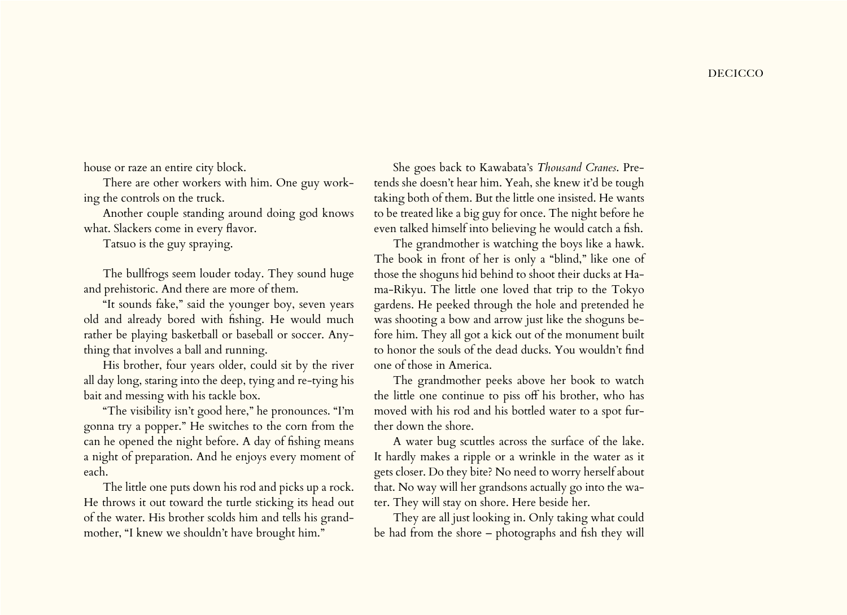house or raze an entire city block.

There are other workers with him. One guy working the controls on the truck.

Another couple standing around doing god knows what. Slackers come in every flavor.

Tatsuo is the guy spraying.

The bullfrogs seem louder today. They sound huge and prehistoric. And there are more of them.

"It sounds fake," said the younger boy, seven years old and already bored with fishing. He would much rather be playing basketball or baseball or soccer. Anything that involves a ball and running.

His brother, four years older, could sit by the river all day long, staring into the deep, tying and re-tying his bait and messing with his tackle box.

"The visibility isn't good here," he pronounces. "I'm gonna try a popper." He switches to the corn from the can he opened the night before. A day of fishing means a night of preparation. And he enjoys every moment of each.

The little one puts down his rod and picks up a rock. He throws it out toward the turtle sticking its head out of the water. His brother scolds him and tells his grandmother, "I knew we shouldn't have brought him."

She goes back to Kawabata's *Thousand Cranes*. Pretends she doesn't hear him. Yeah, she knew it'd be tough taking both of them. But the little one insisted. He wants to be treated like a big guy for once. The night before he even talked himself into believing he would catch a fish.

The grandmother is watching the boys like a hawk. The book in front of her is only a "blind," like one of those the shoguns hid behind to shoot their ducks at Hama-Rikyu. The little one loved that trip to the Tokyo gardens. He peeked through the hole and pretended he was shooting a bow and arrow just like the shoguns before him. They all got a kick out of the monument built to honor the souls of the dead ducks. You wouldn't find one of those in America.

The grandmother peeks above her book to watch the little one continue to piss off his brother, who has moved with his rod and his bottled water to a spot further down the shore.

A water bug scuttles across the surface of the lake. It hardly makes a ripple or a wrinkle in the water as it gets closer. Do they bite? No need to worry herself about that. No way will her grandsons actually go into the water. They will stay on shore. Here beside her.

They are all just looking in. Only taking what could be had from the shore – photographs and fish they will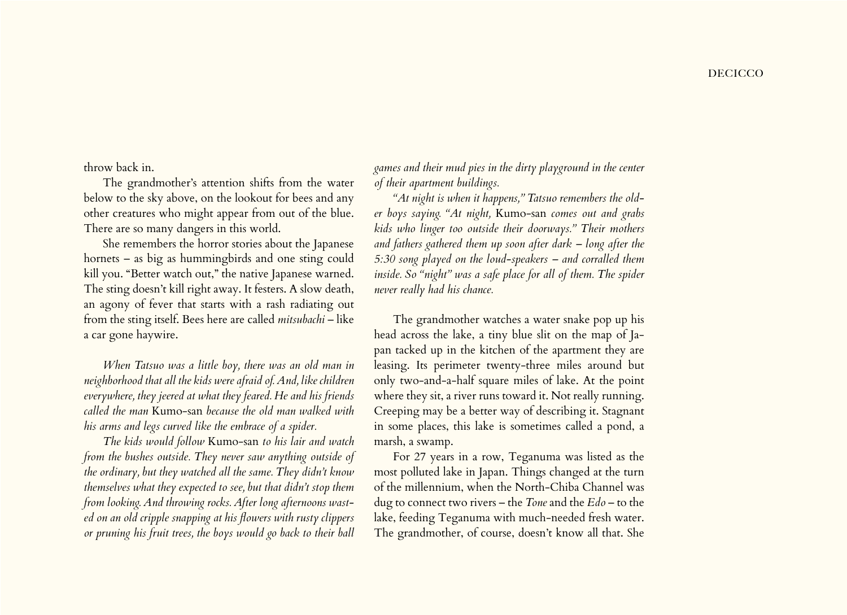throw back in.

The grandmother's attention shifts from the water below to the sky above, on the lookout for bees and any other creatures who might appear from out of the blue. There are so many dangers in this world.

She remembers the horror stories about the Japanese hornets – as big as hummingbirds and one sting could kill you. "Better watch out," the native Japanese warned. The sting doesn't kill right away. It festers. A slow death, an agony of fever that starts with a rash radiating out from the sting itself. Bees here are called *mitsubachi* – like a car gone haywire.

*When Tatsuo was a little boy, there was an old man in neighborhood that all the kids were afraid of. And, like children everywhere, they jeered at what they feared. He and his friends called the man* Kumo-san *because the old man walked with his arms and legs curved like the embrace of a spider.*

*The kids would follow* Kumo-san *to his lair and watch from the bushes outside. They never saw anything outside of the ordinary, but they watched all the same. They didn't know themselves what they expected to see, but that didn't stop them from looking. And throwing rocks. After long afternoons wasted on an old cripple snapping at his flowers with rusty clippers or pruning his fruit trees, the boys would go back to their ball* 

*games and their mud pies in the dirty playground in the center of their apartment buildings.*

*"At night is when it happens," Tatsuo remembers the older boys saying. "At night,* Kumo-san *comes out and grabs kids who linger too outside their doorways." Their mothers and fathers gathered them up soon after dark – long after the 5:30 song played on the loud-speakers – and corralled them*  inside. So "night" was a safe place for all of them. The spider *never really had his chance.*

The grandmother watches a water snake pop up his head across the lake, a tiny blue slit on the map of Japan tacked up in the kitchen of the apartment they are leasing. Its perimeter twenty-three miles around but only two-and-a-half square miles of lake. At the point where they sit, a river runs toward it. Not really running. Creeping may be a better way of describing it. Stagnant in some places, this lake is sometimes called a pond, a marsh, a swamp.

For 27 years in a row, Teganuma was listed as the most polluted lake in Japan. Things changed at the turn of the millennium, when the North-Chiba Channel was dug to connect two rivers – the *Tone* and the *Edo* – to the lake, feeding Teganuma with much-needed fresh water. The grandmother, of course, doesn't know all that. She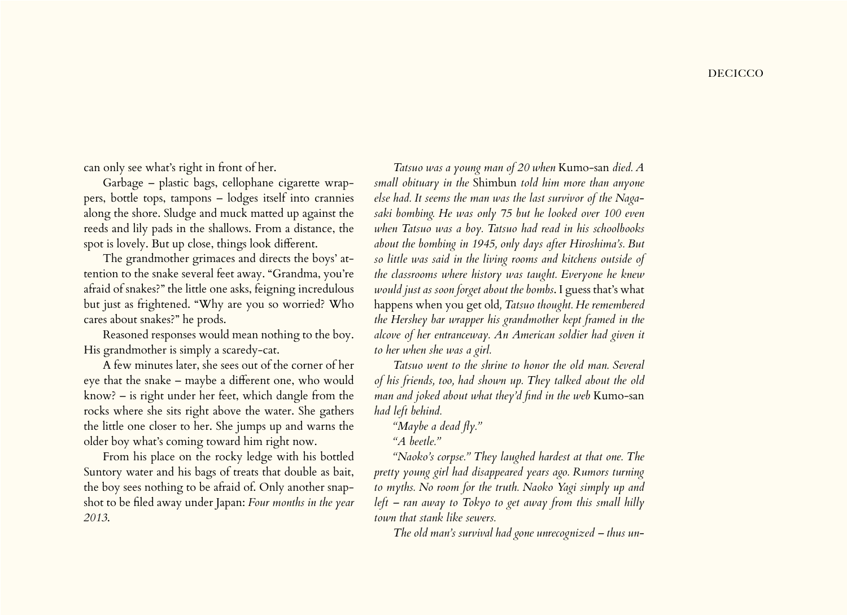## **DECICCO**

can only see what's right in front of her.

Garbage – plastic bags, cellophane cigarette wrappers, bottle tops, tampons – lodges itself into crannies along the shore. Sludge and muck matted up against the reeds and lily pads in the shallows. From a distance, the spot is lovely. But up close, things look different.

The grandmother grimaces and directs the boys' attention to the snake several feet away. "Grandma, you're afraid of snakes?" the little one asks, feigning incredulous but just as frightened. "Why are you so worried? Who cares about snakes?" he prods.

Reasoned responses would mean nothing to the boy. His grandmother is simply a scaredy-cat.

A few minutes later, she sees out of the corner of her eye that the snake – maybe a different one, who would know? – is right under her feet, which dangle from the rocks where she sits right above the water. She gathers the little one closer to her. She jumps up and warns the older boy what's coming toward him right now.

From his place on the rocky ledge with his bottled Suntory water and his bags of treats that double as bait, the boy sees nothing to be afraid of. Only another snapshot to be filed away under Japan: *Four months in the year 2013*.

*Tatsuo was a young man of 20 when* Kumo-san *died. A small obituary in the* Shimbun *told him more than anyone else had. It seems the man was the last survivor of the Nagasaki bombing. He was only 75 but he looked over 100 even when Tatsuo was a boy. Tatsuo had read in his schoolbooks about the bombing in 1945, only days after Hiroshima's. But so little was said in the living rooms and kitchens outside of the classrooms where history was taught. Everyone he knew would just as soon forget about the bombs*. I guess that's what happens when you get old*, Tatsuo thought. He remembered the Hershey bar wrapper his grandmother kept framed in the alcove of her entranceway. An American soldier had given it to her when she was a girl.*

*Tatsuo went to the shrine to honor the old man. Several of his friends, too, had shown up. They talked about the old man and joked about what they'd find in the web* Kumo-san *had left behind.*

*"Maybe a dead fly." "A beetle."*

*"Naoko's corpse." They laughed hardest at that one. The pretty young girl had disappeared years ago. Rumors turning to myths. No room for the truth. Naoko Yagi simply up and left – ran away to Tokyo to get away from this small hilly town that stank like sewers.*

*The old man's survival had gone unrecognized – thus un-*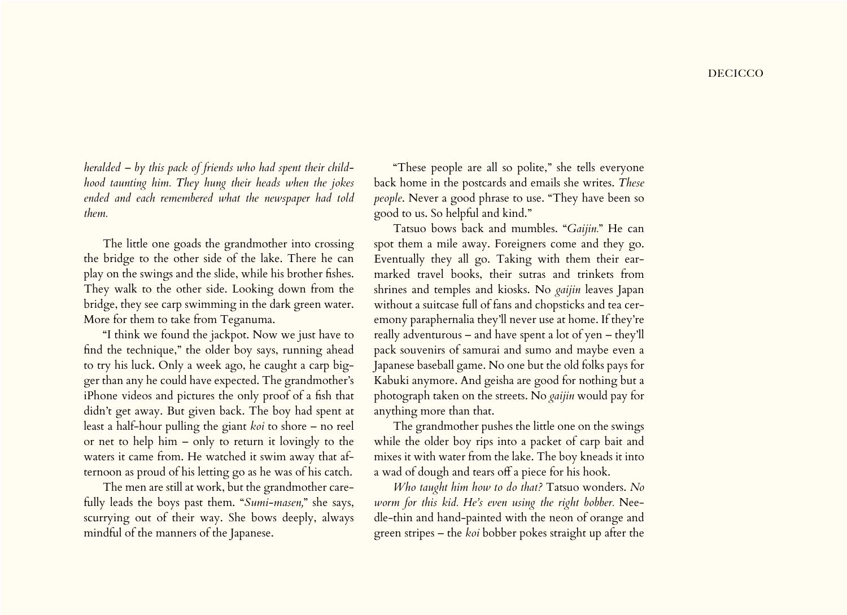*heralded – by this pack of friends who had spent their childhood taunting him. They hung their heads when the jokes ended and each remembered what the newspaper had told them.*

The little one goads the grandmother into crossing the bridge to the other side of the lake. There he can play on the swings and the slide, while his brother fishes. They walk to the other side. Looking down from the bridge, they see carp swimming in the dark green water. More for them to take from Teganuma.

"I think we found the jackpot. Now we just have to find the technique," the older boy says, running ahead to try his luck. Only a week ago, he caught a carp bigger than any he could have expected. The grandmother's iPhone videos and pictures the only proof of a fish that didn't get away. But given back. The boy had spent at least a half-hour pulling the giant *koi* to shore – no reel or net to help him – only to return it lovingly to the waters it came from. He watched it swim away that afternoon as proud of his letting go as he was of his catch.

The men are still at work, but the grandmother carefully leads the boys past them. "*Sumi-masen,*" she says, scurrying out of their way. She bows deeply, always mindful of the manners of the Japanese.

"These people are all so polite," she tells everyone back home in the postcards and emails she writes. *These people*. Never a good phrase to use. "They have been so good to us. So helpful and kind."

Tatsuo bows back and mumbles. "*Gaijin.*" He can spot them a mile away. Foreigners come and they go. Eventually they all go. Taking with them their earmarked travel books, their sutras and trinkets from shrines and temples and kiosks. No *gaijin* leaves Japan without a suitcase full of fans and chopsticks and tea ceremony paraphernalia they'll never use at home. If they're really adventurous – and have spent a lot of yen – they'll pack souvenirs of samurai and sumo and maybe even a Japanese baseball game. No one but the old folks pays for Kabuki anymore. And geisha are good for nothing but a photograph taken on the streets. No *gaijin* would pay for anything more than that.

The grandmother pushes the little one on the swings while the older boy rips into a packet of carp bait and mixes it with water from the lake. The boy kneads it into a wad of dough and tears off a piece for his hook.

*Who taught him how to do that?* Tatsuo wonders. *No worm for this kid. He's even using the right bobber.* Needle-thin and hand-painted with the neon of orange and green stripes – the *koi* bobber pokes straight up after the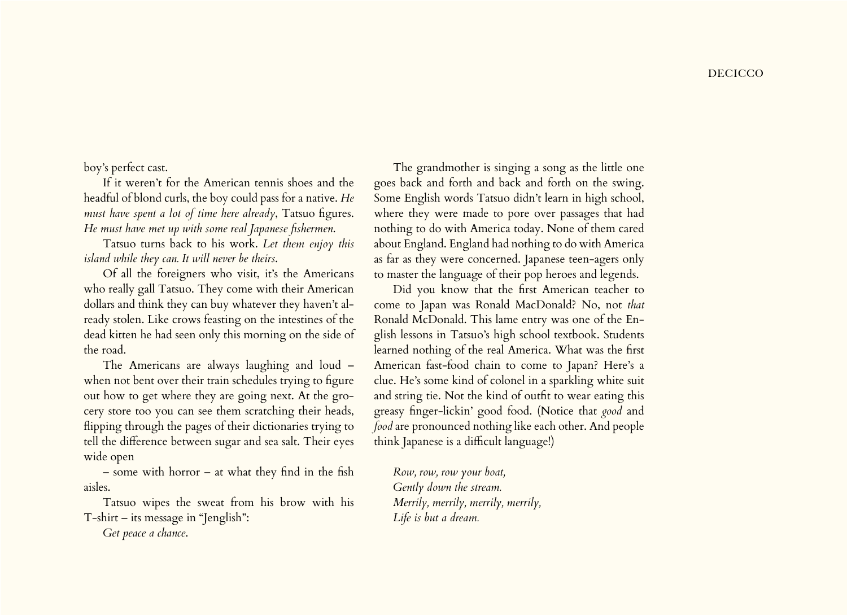boy's perfect cast.

If it weren't for the American tennis shoes and the headful of blond curls, the boy could pass for a native. *He must have spent a lot of time here already*, Tatsuo figures. *He must have met up with some real Japanese fishermen*.

Tatsuo turns back to his work. *Let them enjoy this island while they can. It will never be theirs*.

Of all the foreigners who visit, it's the Americans who really gall Tatsuo. They come with their American dollars and think they can buy whatever they haven't already stolen. Like crows feasting on the intestines of the dead kitten he had seen only this morning on the side of the road.

The Americans are always laughing and loud – when not bent over their train schedules trying to figure out how to get where they are going next. At the grocery store too you can see them scratching their heads, flipping through the pages of their dictionaries trying to tell the difference between sugar and sea salt. Their eyes wide open

– some with horror – at what they find in the fish aisles.

Tatsuo wipes the sweat from his brow with his T-shirt – its message in "Jenglish":

*Get peace a chance*.

The grandmother is singing a song as the little one goes back and forth and back and forth on the swing. Some English words Tatsuo didn't learn in high school, where they were made to pore over passages that had nothing to do with America today. None of them cared about England. England had nothing to do with America as far as they were concerned. Japanese teen-agers only to master the language of their pop heroes and legends.

Did you know that the first American teacher to come to Japan was Ronald MacDonald? No, not *that* Ronald McDonald. This lame entry was one of the English lessons in Tatsuo's high school textbook. Students learned nothing of the real America. What was the first American fast-food chain to come to Japan? Here's a clue. He's some kind of colonel in a sparkling white suit and string tie. Not the kind of outfit to wear eating this greasy finger-lickin' good food. (Notice that *good* and *food* are pronounced nothing like each other. And people think Japanese is a difficult language!)

*Row, row, row your boat, Gently down the stream. Merrily, merrily, merrily, merrily, Life is but a dream.*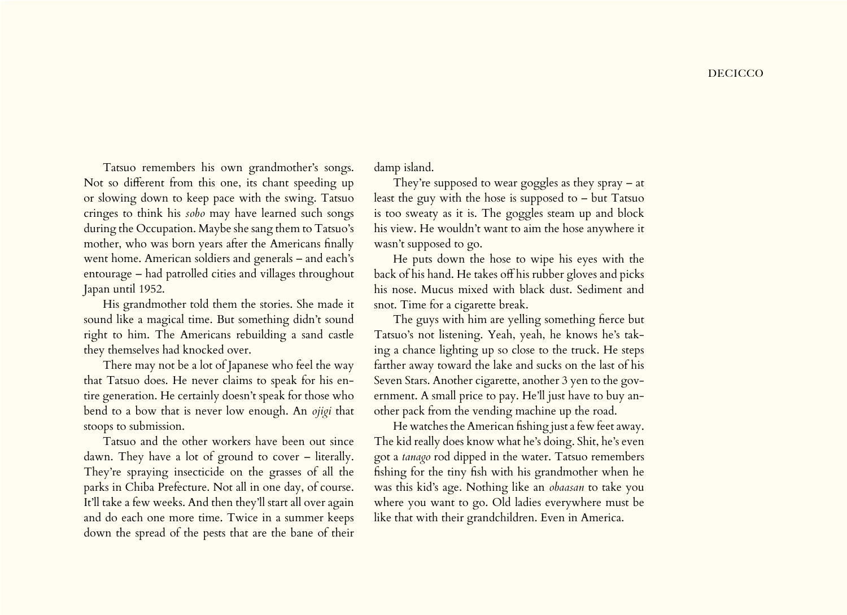Tatsuo remembers his own grandmother's songs. Not so different from this one, its chant speeding up or slowing down to keep pace with the swing. Tatsuo cringes to think his *sobo* may have learned such songs during the Occupation. Maybe she sang them to Tatsuo's mother, who was born years after the Americans finally went home. American soldiers and generals – and each's entourage – had patrolled cities and villages throughout Japan until 1952.

His grandmother told them the stories. She made it sound like a magical time. But something didn't sound right to him. The Americans rebuilding a sand castle they themselves had knocked over.

There may not be a lot of Japanese who feel the way that Tatsuo does. He never claims to speak for his entire generation. He certainly doesn't speak for those who bend to a bow that is never low enough. An *ojigi* that stoops to submission.

Tatsuo and the other workers have been out since dawn. They have a lot of ground to cover – literally. They're spraying insecticide on the grasses of all the parks in Chiba Prefecture. Not all in one day, of course. It'll take a few weeks. And then they'll start all over again and do each one more time. Twice in a summer keeps down the spread of the pests that are the bane of their damp island.

They're supposed to wear goggles as they spray – at least the guy with the hose is supposed to – but Tatsuo is too sweaty as it is. The goggles steam up and block his view. He wouldn't want to aim the hose anywhere it wasn't supposed to go.

He puts down the hose to wipe his eyes with the back of his hand. He takes off his rubber gloves and picks his nose. Mucus mixed with black dust. Sediment and snot. Time for a cigarette break.

The guys with him are yelling something fierce but Tatsuo's not listening. Yeah, yeah, he knows he's taking a chance lighting up so close to the truck. He steps farther away toward the lake and sucks on the last of his Seven Stars. Another cigarette, another 3 yen to the government. A small price to pay. He'll just have to buy another pack from the vending machine up the road.

He watches the American fishing just a few feet away. The kid really does know what he's doing. Shit, he's even got a *tanago* rod dipped in the water. Tatsuo remembers fishing for the tiny fish with his grandmother when he was this kid's age. Nothing like an *obaasan* to take you where you want to go. Old ladies everywhere must be like that with their grandchildren. Even in America.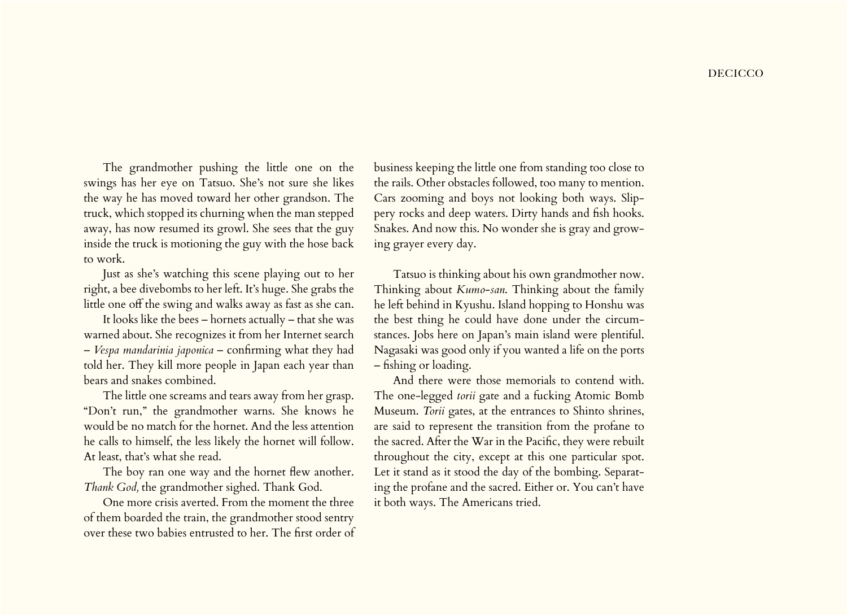The grandmother pushing the little one on the swings has her eye on Tatsuo. She's not sure she likes the way he has moved toward her other grandson. The truck, which stopped its churning when the man stepped away, has now resumed its growl. She sees that the guy inside the truck is motioning the guy with the hose back to work.

Just as she's watching this scene playing out to her right, a bee divebombs to her left. It's huge. She grabs the little one off the swing and walks away as fast as she can.

It looks like the bees – hornets actually – that she was warned about. She recognizes it from her Internet search – *Vespa mandarinia japonica* – confirming what they had told her. They kill more people in Japan each year than bears and snakes combined.

The little one screams and tears away from her grasp. "Don't run," the grandmother warns. She knows he would be no match for the hornet. And the less attention he calls to himself, the less likely the hornet will follow. At least, that's what she read.

The boy ran one way and the hornet flew another. *Thank God,* the grandmother sighed. Thank God.

One more crisis averted. From the moment the three of them boarded the train, the grandmother stood sentry over these two babies entrusted to her. The first order of

business keeping the little one from standing too close to the rails. Other obstacles followed, too many to mention. Cars zooming and boys not looking both ways. Slippery rocks and deep waters. Dirty hands and fish hooks. Snakes. And now this. No wonder she is gray and growing grayer every day.

Tatsuo is thinking about his own grandmother now. Thinking about *Kumo-san*. Thinking about the family he left behind in Kyushu. Island hopping to Honshu was the best thing he could have done under the circumstances. Jobs here on Japan's main island were plentiful. Nagasaki was good only if you wanted a life on the ports – fishing or loading.

And there were those memorials to contend with. The one-legged *torii* gate and a fucking Atomic Bomb Museum. *Torii* gates, at the entrances to Shinto shrines, are said to represent the transition from the profane to the sacred. After the War in the Pacific, they were rebuilt throughout the city, except at this one particular spot. Let it stand as it stood the day of the bombing. Separating the profane and the sacred. Either or. You can't have it both ways. The Americans tried.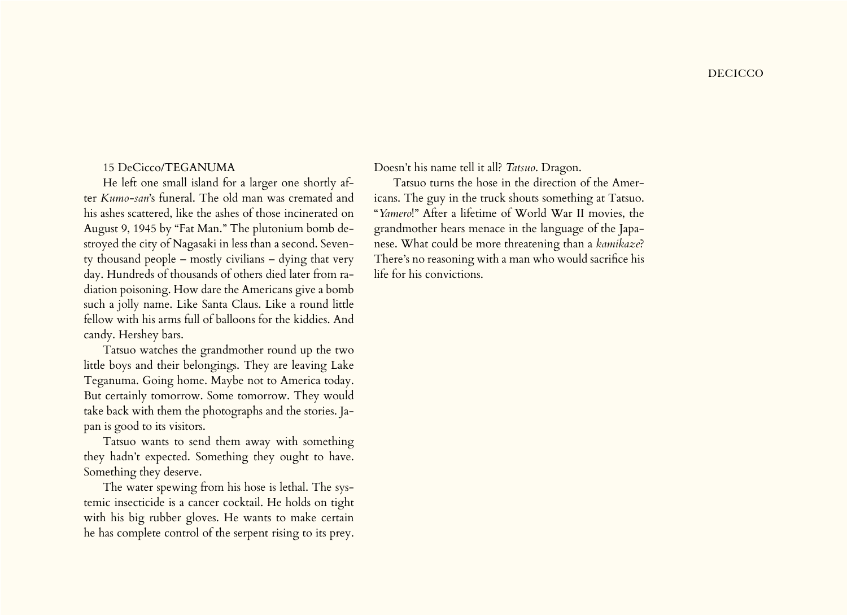## 15 DeCicco/TEGANUMA

He left one small island for a larger one shortly after *Kumo-san*'s funeral. The old man was cremated and his ashes scattered, like the ashes of those incinerated on August 9, 1945 by "Fat Man." The plutonium bomb destroyed the city of Nagasaki in less than a second. Seventy thousand people – mostly civilians – dying that very day. Hundreds of thousands of others died later from radiation poisoning. How dare the Americans give a bomb such a jolly name. Like Santa Claus. Like a round little fellow with his arms full of balloons for the kiddies. And candy. Hershey bars.

Tatsuo watches the grandmother round up the two little boys and their belongings. They are leaving Lake Teganuma. Going home. Maybe not to America today. But certainly tomorrow. Some tomorrow. They would take back with them the photographs and the stories. Japan is good to its visitors.

Tatsuo wants to send them away with something they hadn't expected. Something they ought to have. Something they deserve.

The water spewing from his hose is lethal. The systemic insecticide is a cancer cocktail. He holds on tight with his big rubber gloves. He wants to make certain he has complete control of the serpent rising to its prey.

Doesn't his name tell it all? *Tatsuo*. Dragon.

Tatsuo turns the hose in the direction of the Americans. The guy in the truck shouts something at Tatsuo. "*Yamero*!" After a lifetime of World War II movies, the grandmother hears menace in the language of the Japanese. What could be more threatening than a *kamikaze*? There's no reasoning with a man who would sacrifice his life for his convictions.